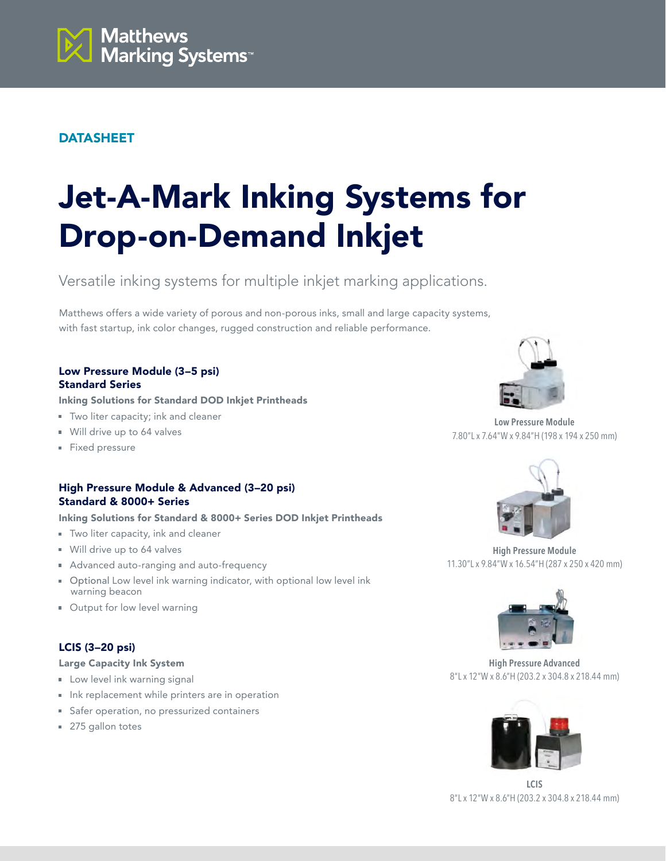

# DATASHEET

# Jet-A-Mark Inking Systems for Drop-on-Demand Inkjet

Versatile inking systems for multiple inkjet marking applications.

Matthews offers a wide variety of porous and non-porous inks, small and large capacity systems, with fast startup, ink color changes, rugged construction and reliable performance.

## Low Pressure Module (3–5 psi) Standard Series

Inking Solutions for Standard DOD Inkjet Printheads

- **Two liter capacity; ink and cleaner**
- Will drive up to 64 valves
- **Fixed pressure**

# High Pressure Module & Advanced (3–20 psi) Standard & 8000+ Series

Inking Solutions for Standard & 8000+ Series DOD Inkjet Printheads

- **Two liter capacity, ink and cleaner**
- Will drive up to 64 valves
- **Advanced auto-ranging and auto-frequency**
- **D**ptional Low level ink warning indicator, with optional low level ink warning beacon
- Output for low level warning

# LCIS (3–20 psi)

### Large Capacity Ink System

- **Low level ink warning signal**
- Ink replacement while printers are in operation
- **Safer operation, no pressurized containers**
- 275 gallon totes



**Low Pressure Module** 7.80"L x 7.64"W x 9.84"H (198 x 194 x 250 mm)



**High Pressure Module** 11.30"L x 9.84"W x 16.54"H (287 x 250 x 420 mm)



**High Pressure Advanced** 8"L x 12"W x 8.6"H (203.2 x 304.8 x 218.44 mm)



**LCIS** 8"L x 12"W x 8.6"H (203.2 x 304.8 x 218.44 mm)